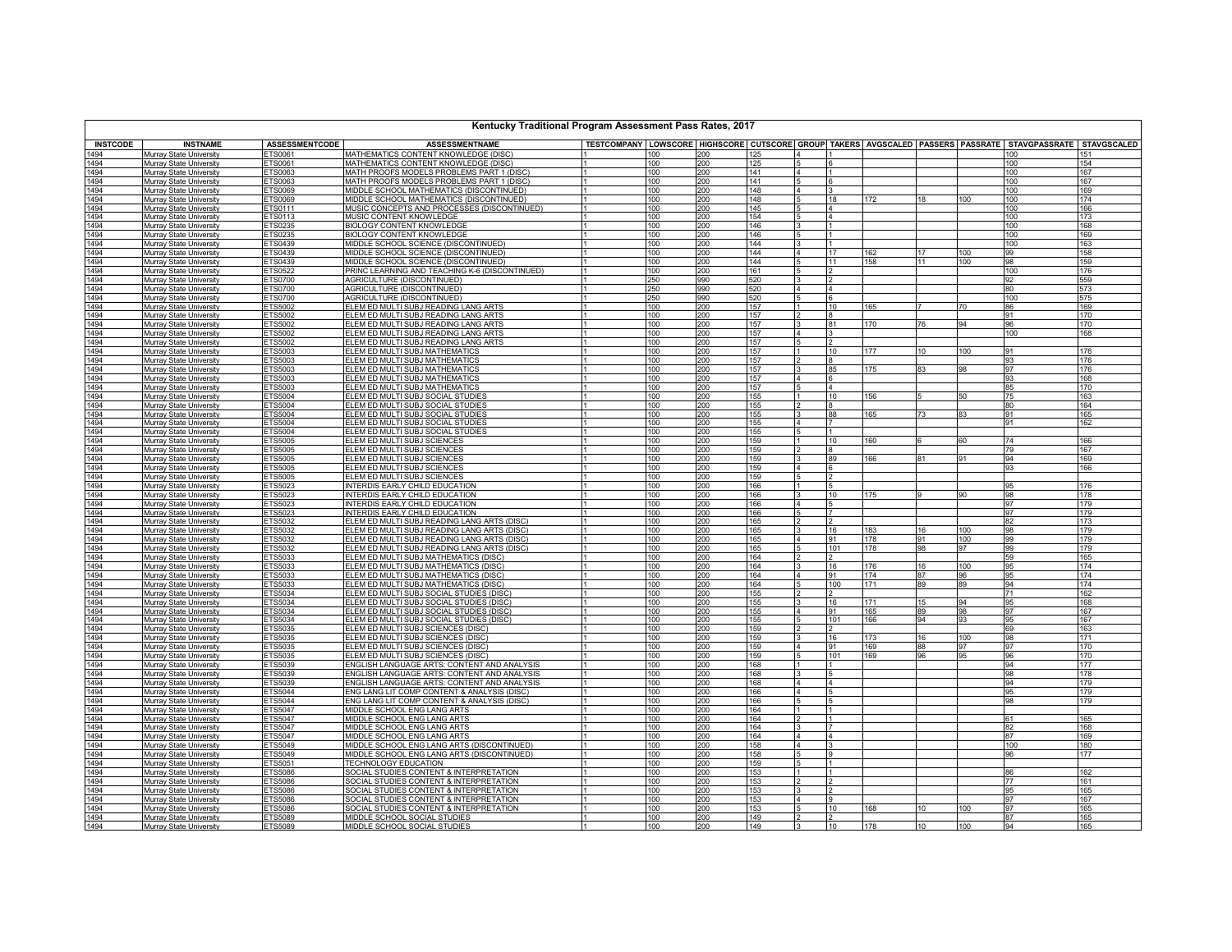| Kentucky Traditional Program Assessment Pass Rates, 2017 |                                                           |                                  |                                                                                                   |                                                                                                           |            |            |                |            |                  |            |            |            |
|----------------------------------------------------------|-----------------------------------------------------------|----------------------------------|---------------------------------------------------------------------------------------------------|-----------------------------------------------------------------------------------------------------------|------------|------------|----------------|------------|------------------|------------|------------|------------|
| <b>INSTCODE</b>                                          | <b>INSTNAME</b>                                           | <b>ASSESSMENTCODE</b>            | <b>ASSESSMENTNAME</b>                                                                             | TESTCOMPANY LOWSCORE HIGHSCORE CUTSCORE GROUP TAKERS AVGSCALED PASSERS PASSRATE STAVGPASSRATE STAVGSCALED |            |            |                |            |                  |            |            |            |
| 1494                                                     | Murray State University                                   | ETS0061                          | MATHEMATICS CONTENT KNOWLEDGE (DISC)                                                              | 100                                                                                                       | 200        | 125        |                |            |                  |            | 100        | 151        |
| 1494<br>1494                                             | Murray State University<br>Murray State University        | ETS0061<br>ETS0063               | MATHEMATICS CONTENT KNOWLEDGE (DISC)<br>MATH PROOFS MODELS PROBLEMS PART 1 (DISC)                 | 100<br>100                                                                                                | 200<br>200 | 125<br>141 |                |            |                  |            | 100<br>100 | 154<br>167 |
| 1494                                                     | Murray State University                                   | ETS0063                          | MATH PROOFS MODELS PROBLEMS PART 1 (DISC)                                                         | 100                                                                                                       | 200        | 141        |                |            |                  |            | 100        | 167        |
| 1494                                                     | Murray State University                                   | ETS0069                          | MIDDLE SCHOOL MATHEMATICS (DISCONTINUED)                                                          | 100                                                                                                       | 200        | 148        |                |            |                  |            | 100        | 169        |
| 1494<br>1494                                             | Murray State University                                   | <b>ETS0069</b>                   | MIDDLE SCHOOL MATHEMATICS (DISCONTINUED)<br>MUSIC CONCEPTS AND PROCESSES (DISCONTINUED)           | 100<br>lı.                                                                                                | 200<br>200 | 148<br>145 | 18             | 172        | 18               | 100        | 100<br>100 | 174<br>166 |
| 1494                                                     | Murray State University<br>Murray State University        | ETS0111<br>ETS0113               | MUSIC CONTENT KNOWLEDGE                                                                           | 100<br>100                                                                                                | 200        | 154        |                |            |                  |            | 100        | 173        |
| 1494                                                     | Murray State University                                   | <b>ETS0235</b>                   | <b>BIOLOGY CONTENT KNOWLEDGE</b>                                                                  | 100                                                                                                       | 200        | 146        |                |            |                  |            | 100        | 168        |
| 1494                                                     | Murray State University                                   | ETS0235                          | <b>BIOLOGY CONTENT KNOWLEDGE</b>                                                                  | 100                                                                                                       | 200        | 146        |                |            |                  |            | 100        | 169        |
| 1494                                                     | <b>Murray State University</b>                            | ETS0439                          | MIDDLE SCHOOL SCIENCE (DISCONTINUED)                                                              | 100                                                                                                       | 200        | 144        | 17             |            | 17               |            | 100        | 163        |
| 1494<br>1494                                             | Murray State University<br>Murray State University        | ETS0439<br>ETS0439               | MIDDLE SCHOOL SCIENCE (DISCONTINUED)<br>MIDDLE SCHOOL SCIENCE (DISCONTINUED)                      | 100<br>100                                                                                                | 200<br>200 | 144<br>144 | 11             | 162<br>158 | 11               | 100<br>100 | 99<br>98   | 158<br>159 |
| 1494                                                     | Murray State University                                   | <b>ETS0522</b>                   | PRINC LEARNING AND TEACHING K-6 (DISCONTINUED)                                                    | 100                                                                                                       | 200        | 161        |                |            |                  |            | 100        | 176        |
| 1494                                                     | Murray State University                                   | ETS0700                          | AGRICULTURE (DISCONTINUED)                                                                        | 250                                                                                                       | 990        | 520        |                |            |                  |            | 92         | 559        |
| 1494                                                     | Murray State University                                   | <b>ETS0700</b>                   | AGRICULTURE (DISCONTINUED)                                                                        | 250                                                                                                       | 990        | 520        |                |            |                  |            | 80         | 573        |
| 1494<br>1494                                             | Murray State University<br>Murray State University        | <b>ETS0700</b><br><b>ETS5002</b> | AGRICULTURE (DISCONTINUED)<br>ELEM ED MULTI SUBJ READING LANG ARTS                                | 250<br>100                                                                                                | 990<br>200 | 520<br>157 | 10             | 165        |                  | 70         | 100<br>86  | 575<br>169 |
| 1494                                                     | <b>Murray State University</b>                            | ETS5002                          | <b>ELEM ED MULTI SUBJ READING LANG ARTS</b>                                                       | 100                                                                                                       | 200        | 157        |                |            |                  |            | 91         | 170        |
| 1494                                                     | Murray State University                                   | ETS5002                          | ELEM ED MULTI SUBJ READING LANG ARTS                                                              | 100                                                                                                       | 200        | 157        | 81             | 170        | 76               | 94         | 96         | 170        |
| 1494                                                     | Murray State University                                   | ETS5002                          | <b>ELEM ED MULTI SUBJ READING LANG ARTS</b>                                                       | 100<br>lı.                                                                                                | 200        | 157        |                |            |                  |            | 100        | 168        |
| 1494<br>1494                                             | Murray State University<br>Murray State University        | <b>ETS5002</b><br>ETS5003        | ELEM ED MULTI SUBJ READING LANG ARTS<br><b>ELEM ED MULTI SUBJ MATHEMATICS</b>                     | 100<br>100                                                                                                | 200<br>200 | 157<br>157 | 10             | 177        | 10 <sup>10</sup> | 100        | 91         | 176        |
| 1494                                                     | Murray State University                                   | <b>ETS5003</b>                   | ELEM ED MULTI SUBJ MATHEMATICS                                                                    | 100                                                                                                       | 200        | 157        |                |            |                  |            | 93         | 176        |
| 1494                                                     | Murray State University                                   | ETS5003                          | ELEM ED MULTI SUBJ MATHEMATICS                                                                    | 100                                                                                                       | 200        | 157        | 85             | 175        | 83               | 98         | 97         | 176        |
| 1494                                                     | Murray State University                                   | ETS5003                          | ELEM ED MULTI SUBJ MATHEMATICS                                                                    | 100                                                                                                       | 200        | 157        |                |            |                  |            | 93         | 168        |
| 1494<br>1494                                             | Murray State University                                   | ETS5003                          | ELEM ED MULTI SUBJ MATHEMATICS                                                                    | 100                                                                                                       | 200        | 157        |                |            |                  |            | 85         | 170        |
| 1494                                                     | Murray State University<br>Murray State University        | <b>ETS5004</b><br><b>ETS5004</b> | ELEM ED MULTI SUBJ SOCIAL STUDIES<br>ELEM ED MULTI SUBJ SOCIAL STUDIES                            | 100<br>100                                                                                                | 200<br>200 | 155<br>155 | 10             | 156        |                  | 50         | 75<br>80   | 163<br>164 |
| 1494                                                     | Murray State University                                   | <b>ETS5004</b>                   | ELEM ED MULTI SUBJ SOCIAL STUDIES                                                                 | 100                                                                                                       | 200        | 155        | 88             | 165        | 73               | 83         | 91         | 165        |
| 1494                                                     | <b>Murray State University</b>                            | ETS5004                          | ELEM ED MULTI SUBJ SOCIAL STUDIES                                                                 | 100                                                                                                       | 200        | 155        |                |            |                  |            | 91         | 162        |
| 1494                                                     | Murray State University                                   | <b>ETS5004</b>                   | ELEM ED MULTI SUBJ SOCIAL STUDIES                                                                 | 100                                                                                                       | 200        | 155        |                |            |                  |            |            |            |
| 1494<br>1494                                             | Murray State University<br>Murray State University        | <b>ETS5005</b><br><b>ETS5005</b> | ELEM ED MULTI SUBJ SCIENCES<br>ELEM ED MULTI SUBJ SCIENCES                                        | 100<br>100                                                                                                | 200<br>200 | 159<br>159 | 10             | 160        |                  | 60         | 74<br>79   | 166<br>167 |
| 1494                                                     | Murray State University                                   | <b>ETS5005</b>                   | ELEM ED MULTI SUBJ SCIENCES                                                                       | 100                                                                                                       | 200        | 159        | 89             | 166        | 81               |            | 94         | 169        |
| 1494                                                     | <b>Murray State University</b>                            | <b>ETS5005</b>                   | ELEM ED MULTI SUBJ SCIENCES                                                                       | 100                                                                                                       | 200        | 159        |                |            |                  |            | 93         | 166        |
| 1494                                                     | Murray State University                                   | <b>ETS5005</b>                   | ELEM ED MULTI SUBJ SCIENCES                                                                       | 100                                                                                                       | 200        | 159        |                |            |                  |            |            |            |
| 1494                                                     | Murray State University                                   | <b>ETS5023</b>                   | INTERDIS EARLY CHILD EDUCATION                                                                    | 100                                                                                                       | 200        | 166        | 10             | 175        |                  | ۹N         | 95<br>98   | 176        |
| 1494<br>1494                                             | Murray State University<br>Murray State University        | ETS5023<br>ETS5023               | INTERDIS EARLY CHILD EDUCATION<br>INTERDIS EARLY CHILD EDUCATION                                  | 100<br>100                                                                                                | 200<br>200 | 166<br>166 |                |            |                  |            | 97         | 178<br>179 |
| 1494                                                     | Murray State University                                   | ETS5023                          | INTERDIS EARLY CHILD EDUCATION                                                                    | 100                                                                                                       | 200        | 166        |                |            |                  |            | 97         | 179        |
| 1494                                                     | Murray State University                                   | ETS5032                          | ELEM ED MULTI SUBJ READING LANG ARTS (DISC)                                                       | 100                                                                                                       | 200        | 165        |                |            |                  |            | 82         | 173        |
| 1494<br>1494                                             | Murray State University                                   | ETS5032<br>ETS5032               | <u>ELEM ED MULTI SUBJ READING LANG ARTS (DISC)</u>                                                | 100<br>100                                                                                                | 200<br>200 | 165<br>165 | 16<br>91       | 183<br>178 | 16<br>91         | 100<br>100 | 98<br>99   | 179<br>179 |
| 1494                                                     | Murray State University<br>Murray State University        | ETS5032                          | ELEM ED MULTI SUBJ READING LANG ARTS (DISC)<br>ELEM ED MULTI SUBJ READING LANG ARTS (DISC)        | 100                                                                                                       | 200        | 165        | 101            | 178        | 98               | 97         | 99         | 179        |
| 1494                                                     | Murray State University                                   | <b>ETS5033</b>                   | ELEM ED MULTI SUBJ MATHEMATICS (DISC)                                                             | 100                                                                                                       | 200        | 164        |                |            |                  |            | 59         | 165        |
| 1494                                                     | Murray State University                                   | ETS5033                          | ELEM ED MULTI SUBJ MATHEMATICS (DISC)                                                             | 100                                                                                                       | 200        | 164        | 16             | 176        | 16               | 100        | 95         | 174        |
| 1494                                                     | Murray State University                                   | ETS5033<br>ETS5033               | ELEM ED MULTI SUBJ MATHEMATICS (DISC)                                                             | 100                                                                                                       | 200        | 164        | 91<br>100      | 174<br>171 | 87               | 96<br>89   | 95<br>94   | 174<br>174 |
| 1494<br>1494                                             | Murray State University<br>Murray State University        | ETS5034                          | ELEM ED MULTI SUBJ MATHEMATICS (DISC)<br>ELEM ED MULTI SUBJ SOCIAL STUDIES (DISC)                 | 100<br>100                                                                                                | 200<br>200 | 164<br>155 |                |            | 89               |            | 71         | 162        |
| 1494                                                     | <b>Murray State University</b>                            | ETS5034                          | ELEM ED MULTI SUBJ SOCIAL STUDIES (DISC)                                                          | 100                                                                                                       | 200        | 155        | 16             | 171        | 15               | 94         | 95         | 168        |
| 1494                                                     | <b>Murray State University</b>                            | ETS5034                          | ELEM ED MULTI SUBJ SOCIAL STUDIES (DISC)                                                          | 100                                                                                                       | 200        | 155        | 91             | 165        | 89               | 98         | 97         | 167        |
| 1494                                                     | Murray State University                                   | ETS5034                          | ELEM ED MULTI SUBJ SOCIAL STUDIES (DISC)                                                          | 100                                                                                                       | 200        | 155        | 101            | 166        | 94               | 93         | 95         | 167        |
| 1494<br>1494                                             | Murray State University<br>Murray State University        | ETS5035<br>ETS5035               | ELEM ED MULTI SUBJ SCIENCES (DISC)<br>ELEM ED MULTI SUBJ SCIENCES (DISC)                          | 100<br>100                                                                                                | 200<br>200 | 159<br>159 | 16             | 173        | 16               | 100        | 69<br>98   | 163<br>171 |
| 1494                                                     | Murray State University                                   | ETS5035                          | ELEM ED MULTI SUBJ SCIENCES (DISC)                                                                | 100                                                                                                       | 200        | 159        | Q <sub>1</sub> | 169        | 88               | 97         | 97         | 170        |
| 1494                                                     | Murray State University                                   | <b>ETS5035</b>                   | ELEM ED MULTI SUBJ SCIENCES (DISC)                                                                | 100                                                                                                       | 200        | 159        | 101            | 169        | 96               | 95         | 96         | 170        |
| 1494                                                     | Murray State University                                   | <b>ETS5039</b>                   | ENGLISH LANGUAGE ARTS: CONTENT AND ANALYSIS                                                       | 100                                                                                                       | 200        | 168        |                |            |                  |            | 94         | 177        |
| 1494<br>1494                                             | Murray State University<br>Murray State University        | ETS5039<br>ETS5039               | ENGLISH LANGUAGE ARTS: CONTENT AND ANALYSIS<br><u>ENGLISH LANGUAGE ARTS: CONTENT AND ANALYSIS</u> | 100<br>100                                                                                                | 200<br>200 | 168<br>168 |                |            |                  |            | 98<br>94   | 178<br>179 |
| 1494                                                     | Murray State University                                   | <b>ETS5044</b>                   | ENG LANG LIT COMP CONTENT & ANALYSIS (DISC)                                                       | 100                                                                                                       | 200        | 166        |                |            |                  |            | 95         | 179        |
| 1494                                                     | Murray State University                                   | <b>ETS5044</b>                   | ENG LANG LIT COMP CONTENT & ANALYSIS (DISC)                                                       | 100                                                                                                       | 200        | 166        |                |            |                  |            | 98         | 179        |
| 1494                                                     | Murray State University                                   | <b>ETS5047</b>                   | MIDDLE SCHOOL ENG LANG ARTS                                                                       | 100                                                                                                       | 200        | 164        |                |            |                  |            |            |            |
| 1494<br>1494                                             | Murray State University<br>Murray State University        | ETS5047<br><b>ETS5047</b>        | MIDDLE SCHOOL ENG LANG ARTS<br>MIDDLE SCHOOL ENG LANG ARTS                                        | 100<br>100                                                                                                | 200<br>200 | 164<br>164 |                |            |                  |            | 61<br>82   | 165<br>168 |
| 1494                                                     | Murray State University                                   | <b>ETS5047</b>                   | MIDDLE SCHOOL ENG LANG ARTS                                                                       | 100                                                                                                       | 200        | 164        |                |            |                  |            | 87         | 169        |
| 1494                                                     | Murray State University                                   | <b>ETS5049</b>                   | MIDDLE SCHOOL ENG LANG ARTS (DISCONTINUED)                                                        | 100                                                                                                       | 200        | 158        |                |            |                  |            | 100        | 180        |
| 1494                                                     | <b>Murray State University</b>                            | ETS5049                          | MIDDLE SCHOOL ENG LANG ARTS (DISCONTINUED)                                                        | 100                                                                                                       | 200        | 158        |                |            |                  |            | 96         | 177        |
| 1494<br>1494                                             | <b>Murray State University</b><br>Murray State University | ETS5051<br><b>ETS5086</b>        | <b>TECHNOLOGY EDUCATION</b><br>SOCIAL STUDIES CONTENT & INTERPRETATION                            | 100<br>100                                                                                                | 200<br>200 | 159<br>153 |                |            |                  |            | 86         | 162        |
| 1494                                                     | Murray State University                                   | <b>ETS5086</b>                   | SOCIAL STUDIES CONTENT & INTERPRETATION                                                           | 100                                                                                                       | 200        | 153        |                |            |                  |            | 77         | 161        |
| 1494                                                     | <b>Murray State University</b>                            | <b>ETS5086</b>                   | SOCIAL STUDIES CONTENT & INTERPRETATION                                                           | 100                                                                                                       | 200        | 153        |                |            |                  |            | 95         | 165        |
| 1494                                                     | Murray State University                                   | <b>ETS5086</b>                   | SOCIAL STUDIES CONTENT & INTERPRETATION                                                           | 100                                                                                                       | 200        | 153        |                |            |                  |            | 97         | 167        |
| 1494<br>1494                                             | Murray State University<br>Murray State University        | <b>ETS5086</b><br><b>ETS5089</b> | SOCIAL STUDIES CONTENT & INTERPRETATION<br>MIDDLE SCHOOL SOCIAL STUDIES                           | 100<br>100                                                                                                | 200<br>200 | 153<br>149 | 10             | 168        | 10 <sup>10</sup> | 100        | 97<br>87   | 165<br>165 |
| 1494                                                     | Murray State University                                   | <b>ETS5089</b>                   | MIDDLE SCHOOL SOCIAL STUDIES                                                                      | 100                                                                                                       | 200        | 149        | 10<br>ıз       | 178        | 10 <sup>1</sup>  | 100        | 94         | 165        |